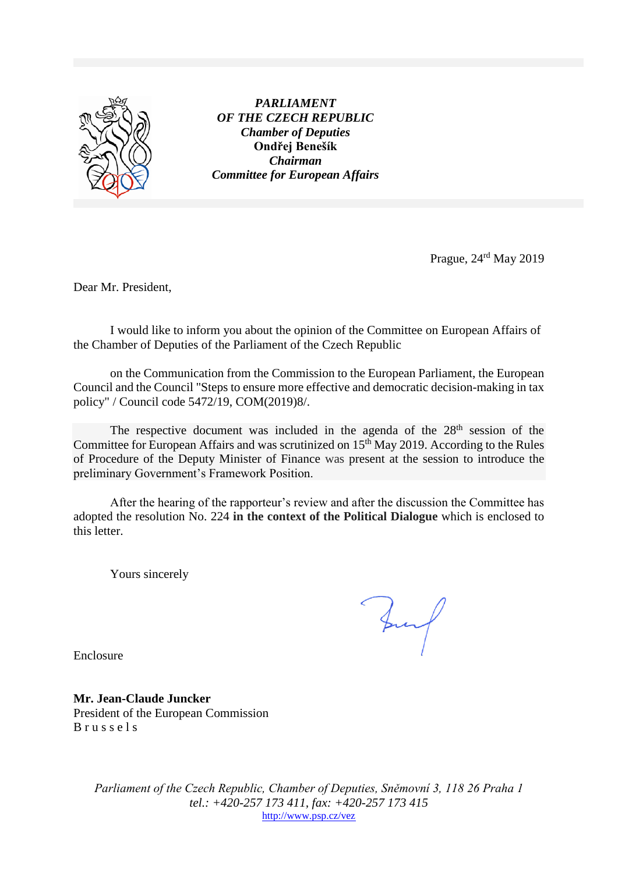

*PARLIAMENT OF THE CZECH REPUBLIC Chamber of Deputies* **Ondřej Benešík** *Chairman Committee for European Affairs*

Prague, 24<sup>rd</sup> May 2019

Dear Mr. President,

I would like to inform you about the opinion of the Committee on European Affairs of the Chamber of Deputies of the Parliament of the Czech Republic

on the Communication from the Commission to the European Parliament, the European Council and the Council "Steps to ensure more effective and democratic decision-making in tax policy" / Council code 5472/19, COM(2019)8/.

The respective document was included in the agenda of the 28<sup>th</sup> session of the Committee for European Affairs and was scrutinized on 15<sup>th</sup> May 2019. According to the Rules of Procedure of the Deputy Minister of Finance was present at the session to introduce the preliminary Government's Framework Position.

After the hearing of the rapporteur's review and after the discussion the Committee has adopted the resolution No. 224 **in the context of the Political Dialogue** which is enclosed to this letter.

Yours sincerely

Buf

Enclosure

**Mr. Jean-Claude Juncker** President of the European Commission B r u s s e l s

> *Parliament of the Czech Republic, Chamber of Deputies, Sněmovní 3, 118 26 Praha 1 tel.: +420-257 173 411, fax: +420-257 173 415* <http://www.psp.cz/vez>